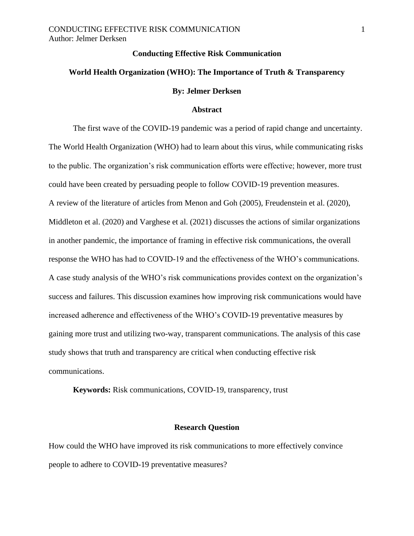#### **Conducting Effective Risk Communication**

# **World Health Organization (WHO): The Importance of Truth & Transparency By: Jelmer Derksen**

#### **Abstract**

The first wave of the COVID-19 pandemic was a period of rapid change and uncertainty. The World Health Organization (WHO) had to learn about this virus, while communicating risks to the public. The organization's risk communication efforts were effective; however, more trust could have been created by persuading people to follow COVID-19 prevention measures. A review of the literature of articles from Menon and Goh (2005), Freudenstein et al. (2020), Middleton et al. (2020) and Varghese et al. (2021) discusses the actions of similar organizations in another pandemic, the importance of framing in effective risk communications, the overall response the WHO has had to COVID-19 and the effectiveness of the WHO's communications. A case study analysis of the WHO's risk communications provides context on the organization's success and failures. This discussion examines how improving risk communications would have increased adherence and effectiveness of the WHO's COVID-19 preventative measures by gaining more trust and utilizing two-way, transparent communications. The analysis of this case study shows that truth and transparency are critical when conducting effective risk communications.

**Keywords:** Risk communications, COVID-19, transparency, trust

#### **Research Question**

How could the WHO have improved its risk communications to more effectively convince people to adhere to COVID-19 preventative measures?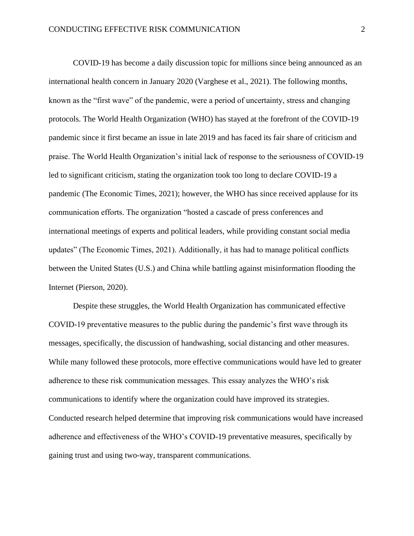COVID-19 has become a daily discussion topic for millions since being announced as an international health concern in January 2020 (Varghese et al., 2021). The following months, known as the "first wave" of the pandemic, were a period of uncertainty, stress and changing protocols. The World Health Organization (WHO) has stayed at the forefront of the COVID-19 pandemic since it first became an issue in late 2019 and has faced its fair share of criticism and praise. The World Health Organization's initial lack of response to the seriousness of COVID-19 led to significant criticism, stating the organization took too long to declare COVID-19 a pandemic (The Economic Times, 2021); however, the WHO has since received applause for its communication efforts. The organization "hosted a cascade of press conferences and international meetings of experts and political leaders, while providing constant social media updates" (The Economic Times, 2021). Additionally, it has had to manage political conflicts between the United States (U.S.) and China while battling against misinformation flooding the Internet (Pierson, 2020).

Despite these struggles, the World Health Organization has communicated effective COVID-19 preventative measures to the public during the pandemic's first wave through its messages, specifically, the discussion of handwashing, social distancing and other measures. While many followed these protocols, more effective communications would have led to greater adherence to these risk communication messages. This essay analyzes the WHO's risk communications to identify where the organization could have improved its strategies. Conducted research helped determine that improving risk communications would have increased adherence and effectiveness of the WHO's COVID-19 preventative measures, specifically by gaining trust and using two-way, transparent communications.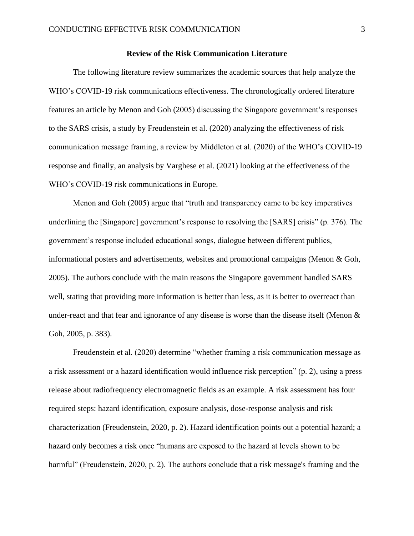#### **Review of the Risk Communication Literature**

The following literature review summarizes the academic sources that help analyze the WHO's COVID-19 risk communications effectiveness. The chronologically ordered literature features an article by Menon and Goh (2005) discussing the Singapore government's responses to the SARS crisis, a study by Freudenstein et al. (2020) analyzing the effectiveness of risk communication message framing, a review by Middleton et al. (2020) of the WHO's COVID-19 response and finally, an analysis by Varghese et al. (2021) looking at the effectiveness of the WHO's COVID-19 risk communications in Europe.

Menon and Goh (2005) argue that "truth and transparency came to be key imperatives underlining the [Singapore] government's response to resolving the [SARS] crisis" (p. 376). The government's response included educational songs, dialogue between different publics, informational posters and advertisements, websites and promotional campaigns (Menon & Goh, 2005). The authors conclude with the main reasons the Singapore government handled SARS well, stating that providing more information is better than less, as it is better to overreact than under-react and that fear and ignorance of any disease is worse than the disease itself (Menon & Goh, 2005, p. 383).

Freudenstein et al. (2020) determine "whether framing a risk communication message as a risk assessment or a hazard identification would influence risk perception" (p. 2), using a press release about radiofrequency electromagnetic fields as an example. A risk assessment has four required steps: hazard identification, exposure analysis, dose-response analysis and risk characterization (Freudenstein, 2020, p. 2). Hazard identification points out a potential hazard; a hazard only becomes a risk once "humans are exposed to the hazard at levels shown to be harmful" (Freudenstein, 2020, p. 2). The authors conclude that a risk message's framing and the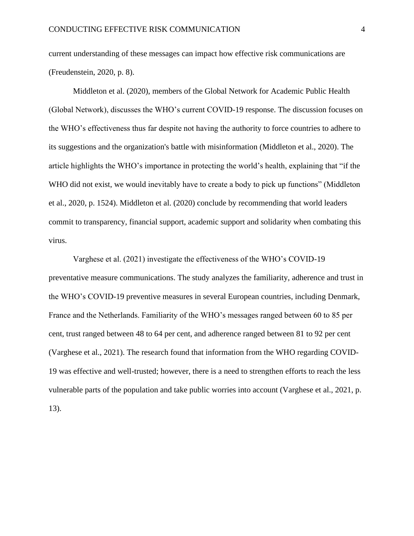current understanding of these messages can impact how effective risk communications are (Freudenstein, 2020, p. 8).

Middleton et al. (2020), members of the Global Network for Academic Public Health (Global Network), discusses the WHO's current COVID-19 response. The discussion focuses on the WHO's effectiveness thus far despite not having the authority to force countries to adhere to its suggestions and the organization's battle with misinformation (Middleton et al., 2020). The article highlights the WHO's importance in protecting the world's health, explaining that "if the WHO did not exist, we would inevitably have to create a body to pick up functions" (Middleton et al., 2020, p. 1524). Middleton et al. (2020) conclude by recommending that world leaders commit to transparency, financial support, academic support and solidarity when combating this virus.

Varghese et al. (2021) investigate the effectiveness of the WHO's COVID-19 preventative measure communications. The study analyzes the familiarity, adherence and trust in the WHO's COVID-19 preventive measures in several European countries, including Denmark, France and the Netherlands. Familiarity of the WHO's messages ranged between 60 to 85 per cent, trust ranged between 48 to 64 per cent, and adherence ranged between 81 to 92 per cent (Varghese et al., 2021). The research found that information from the WHO regarding COVID-19 was effective and well-trusted; however, there is a need to strengthen efforts to reach the less vulnerable parts of the population and take public worries into account (Varghese et al., 2021, p. 13).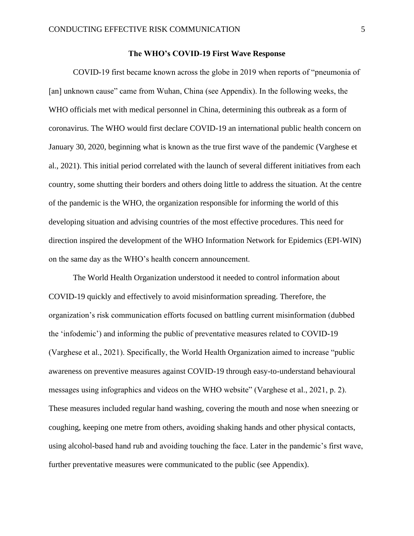#### **The WHO's COVID-19 First Wave Response**

COVID-19 first became known across the globe in 2019 when reports of "pneumonia of [an] unknown cause" came from Wuhan, China (see Appendix). In the following weeks, the WHO officials met with medical personnel in China, determining this outbreak as a form of coronavirus. The WHO would first declare COVID-19 an international public health concern on January 30, 2020, beginning what is known as the true first wave of the pandemic (Varghese et al., 2021). This initial period correlated with the launch of several different initiatives from each country, some shutting their borders and others doing little to address the situation. At the centre of the pandemic is the WHO, the organization responsible for informing the world of this developing situation and advising countries of the most effective procedures. This need for direction inspired the development of the WHO Information Network for Epidemics (EPI-WIN) on the same day as the WHO's health concern announcement.

The World Health Organization understood it needed to control information about COVID-19 quickly and effectively to avoid misinformation spreading. Therefore, the organization's risk communication efforts focused on battling current misinformation (dubbed the 'infodemic') and informing the public of preventative measures related to COVID-19 (Varghese et al., 2021). Specifically, the World Health Organization aimed to increase "public awareness on preventive measures against COVID-19 through easy-to-understand behavioural messages using infographics and videos on the WHO website" (Varghese et al., 2021, p. 2). These measures included regular hand washing, covering the mouth and nose when sneezing or coughing, keeping one metre from others, avoiding shaking hands and other physical contacts, using alcohol-based hand rub and avoiding touching the face. Later in the pandemic's first wave, further preventative measures were communicated to the public (see Appendix).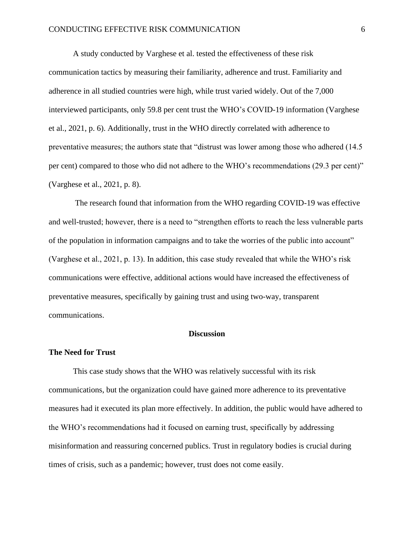A study conducted by Varghese et al. tested the effectiveness of these risk communication tactics by measuring their familiarity, adherence and trust. Familiarity and adherence in all studied countries were high, while trust varied widely. Out of the 7,000 interviewed participants, only 59.8 per cent trust the WHO's COVID-19 information (Varghese et al., 2021, p. 6). Additionally, trust in the WHO directly correlated with adherence to preventative measures; the authors state that "distrust was lower among those who adhered (14.5 per cent) compared to those who did not adhere to the WHO's recommendations (29.3 per cent)" (Varghese et al., 2021, p. 8).

The research found that information from the WHO regarding COVID-19 was effective and well-trusted; however, there is a need to "strengthen efforts to reach the less vulnerable parts of the population in information campaigns and to take the worries of the public into account" (Varghese et al., 2021, p. 13). In addition, this case study revealed that while the WHO's risk communications were effective, additional actions would have increased the effectiveness of preventative measures, specifically by gaining trust and using two-way, transparent communications.

### **Discussion**

#### **The Need for Trust**

This case study shows that the WHO was relatively successful with its risk communications, but the organization could have gained more adherence to its preventative measures had it executed its plan more effectively. In addition, the public would have adhered to the WHO's recommendations had it focused on earning trust, specifically by addressing misinformation and reassuring concerned publics. Trust in regulatory bodies is crucial during times of crisis, such as a pandemic; however, trust does not come easily.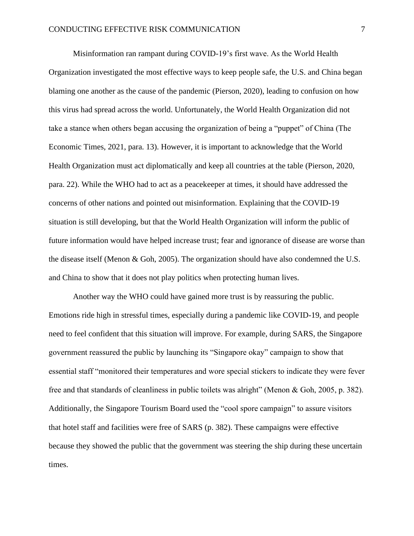Misinformation ran rampant during COVID-19's first wave. As the World Health Organization investigated the most effective ways to keep people safe, the U.S. and China began blaming one another as the cause of the pandemic (Pierson, 2020), leading to confusion on how this virus had spread across the world. Unfortunately, the World Health Organization did not take a stance when others began accusing the organization of being a "puppet" of China (The Economic Times, 2021, para. 13). However, it is important to acknowledge that the World Health Organization must act diplomatically and keep all countries at the table (Pierson, 2020, para. 22). While the WHO had to act as a peacekeeper at times, it should have addressed the concerns of other nations and pointed out misinformation. Explaining that the COVID-19 situation is still developing, but that the World Health Organization will inform the public of future information would have helped increase trust; fear and ignorance of disease are worse than the disease itself (Menon & Goh, 2005). The organization should have also condemned the U.S. and China to show that it does not play politics when protecting human lives.

Another way the WHO could have gained more trust is by reassuring the public. Emotions ride high in stressful times, especially during a pandemic like COVID-19, and people need to feel confident that this situation will improve. For example, during SARS, the Singapore government reassured the public by launching its "Singapore okay" campaign to show that essential staff "monitored their temperatures and wore special stickers to indicate they were fever free and that standards of cleanliness in public toilets was alright" (Menon & Goh, 2005, p. 382). Additionally, the Singapore Tourism Board used the "cool spore campaign" to assure visitors that hotel staff and facilities were free of SARS (p. 382). These campaigns were effective because they showed the public that the government was steering the ship during these uncertain times.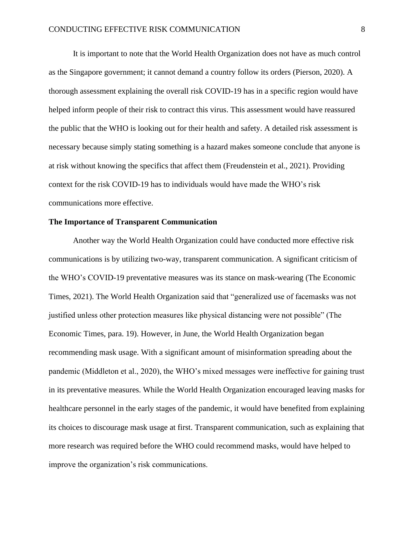It is important to note that the World Health Organization does not have as much control as the Singapore government; it cannot demand a country follow its orders (Pierson, 2020). A thorough assessment explaining the overall risk COVID-19 has in a specific region would have helped inform people of their risk to contract this virus. This assessment would have reassured the public that the WHO is looking out for their health and safety. A detailed risk assessment is necessary because simply stating something is a hazard makes someone conclude that anyone is at risk without knowing the specifics that affect them (Freudenstein et al., 2021). Providing context for the risk COVID-19 has to individuals would have made the WHO's risk communications more effective.

## **The Importance of Transparent Communication**

Another way the World Health Organization could have conducted more effective risk communications is by utilizing two-way, transparent communication. A significant criticism of the WHO's COVID-19 preventative measures was its stance on mask-wearing (The Economic Times, 2021). The World Health Organization said that "generalized use of facemasks was not justified unless other protection measures like physical distancing were not possible" (The Economic Times, para. 19). However, in June, the World Health Organization began recommending mask usage. With a significant amount of misinformation spreading about the pandemic (Middleton et al., 2020), the WHO's mixed messages were ineffective for gaining trust in its preventative measures. While the World Health Organization encouraged leaving masks for healthcare personnel in the early stages of the pandemic, it would have benefited from explaining its choices to discourage mask usage at first. Transparent communication, such as explaining that more research was required before the WHO could recommend masks, would have helped to improve the organization's risk communications.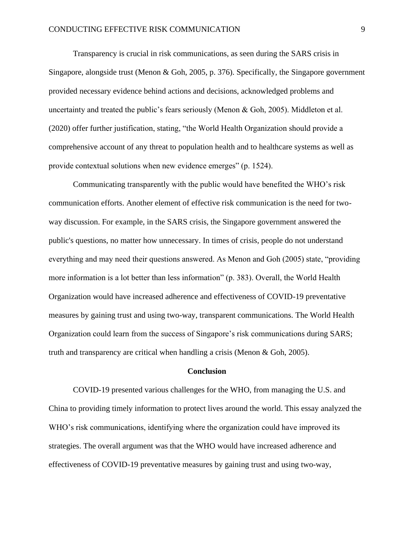Transparency is crucial in risk communications, as seen during the SARS crisis in Singapore, alongside trust (Menon & Goh, 2005, p. 376). Specifically, the Singapore government provided necessary evidence behind actions and decisions, acknowledged problems and uncertainty and treated the public's fears seriously (Menon & Goh, 2005). Middleton et al. (2020) offer further justification, stating, "the World Health Organization should provide a comprehensive account of any threat to population health and to healthcare systems as well as provide contextual solutions when new evidence emerges" (p. 1524).

Communicating transparently with the public would have benefited the WHO's risk communication efforts. Another element of effective risk communication is the need for twoway discussion. For example, in the SARS crisis, the Singapore government answered the public's questions, no matter how unnecessary. In times of crisis, people do not understand everything and may need their questions answered. As Menon and Goh (2005) state, "providing more information is a lot better than less information" (p. 383). Overall, the World Health Organization would have increased adherence and effectiveness of COVID-19 preventative measures by gaining trust and using two-way, transparent communications. The World Health Organization could learn from the success of Singapore's risk communications during SARS; truth and transparency are critical when handling a crisis (Menon & Goh, 2005).

#### **Conclusion**

COVID-19 presented various challenges for the WHO, from managing the U.S. and China to providing timely information to protect lives around the world. This essay analyzed the WHO's risk communications, identifying where the organization could have improved its strategies. The overall argument was that the WHO would have increased adherence and effectiveness of COVID-19 preventative measures by gaining trust and using two-way,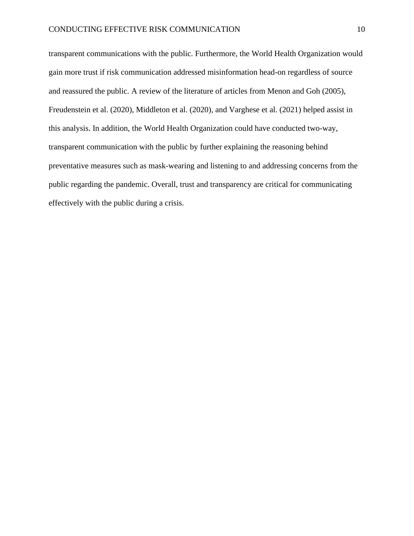transparent communications with the public. Furthermore, the World Health Organization would gain more trust if risk communication addressed misinformation head-on regardless of source and reassured the public. A review of the literature of articles from Menon and Goh (2005), Freudenstein et al. (2020), Middleton et al. (2020), and Varghese et al. (2021) helped assist in this analysis. In addition, the World Health Organization could have conducted two-way, transparent communication with the public by further explaining the reasoning behind preventative measures such as mask-wearing and listening to and addressing concerns from the public regarding the pandemic. Overall, trust and transparency are critical for communicating effectively with the public during a crisis.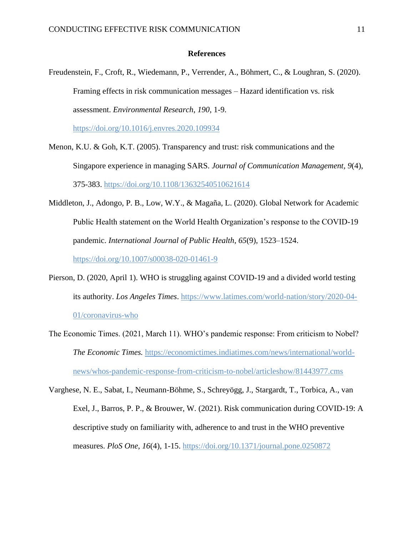### **References**

Freudenstein, F., Croft, R., Wiedemann, P., Verrender, A., Böhmert, C., & Loughran, S. (2020). Framing effects in risk communication messages – Hazard identification vs. risk assessment. *Environmental Research*, *190*, 1-9.

<https://doi.org/10.1016/j.envres.2020.109934>

- Menon, K.U. & Goh, K.T. (2005). Transparency and trust: risk communications and the Singapore experience in managing SARS. *Journal of Communication Management, 9*(4), 375-383. <https://doi.org/10.1108/13632540510621614>
- Middleton, J., Adongo, P. B., Low, W.Y., & Magaña, L. (2020). Global Network for Academic Public Health statement on the World Health Organization's response to the COVID-19 pandemic. *International Journal of Public Health*, *65*(9), 1523–1524.

<https://doi.org/10.1007/s00038-020-01461-9>

- Pierson, D. (2020, April 1). WHO is struggling against COVID-19 and a divided world testing its authority. *Los Angeles Times*. [https://www.latimes.com/world-nation/story/2020-04-](https://www.latimes.com/world-nation/story/2020-04-01/coronavirus-who) [01/coronavirus-who](https://www.latimes.com/world-nation/story/2020-04-01/coronavirus-who)
- The Economic Times. (2021, March 11). WHO's pandemic response: From criticism to Nobel? *The Economic Times.* [https://economictimes.indiatimes.com/news/international/world](https://economictimes.indiatimes.com/news/international/world-news/whos-pandemic-response-from-criticism-to-nobel/articleshow/81443977.cms)[news/whos-pandemic-response-from-criticism-to-nobel/articleshow/81443977.cms](https://economictimes.indiatimes.com/news/international/world-news/whos-pandemic-response-from-criticism-to-nobel/articleshow/81443977.cms)
- Varghese, N. E., Sabat, I., Neumann-Böhme, S., Schreyögg, J., Stargardt, T., Torbica, A., van Exel, J., Barros, P. P., & Brouwer, W. (2021). Risk communication during COVID-19: A descriptive study on familiarity with, adherence to and trust in the WHO preventive measures. *PloS One*, *16*(4), 1-15.<https://doi.org/10.1371/journal.pone.0250872>